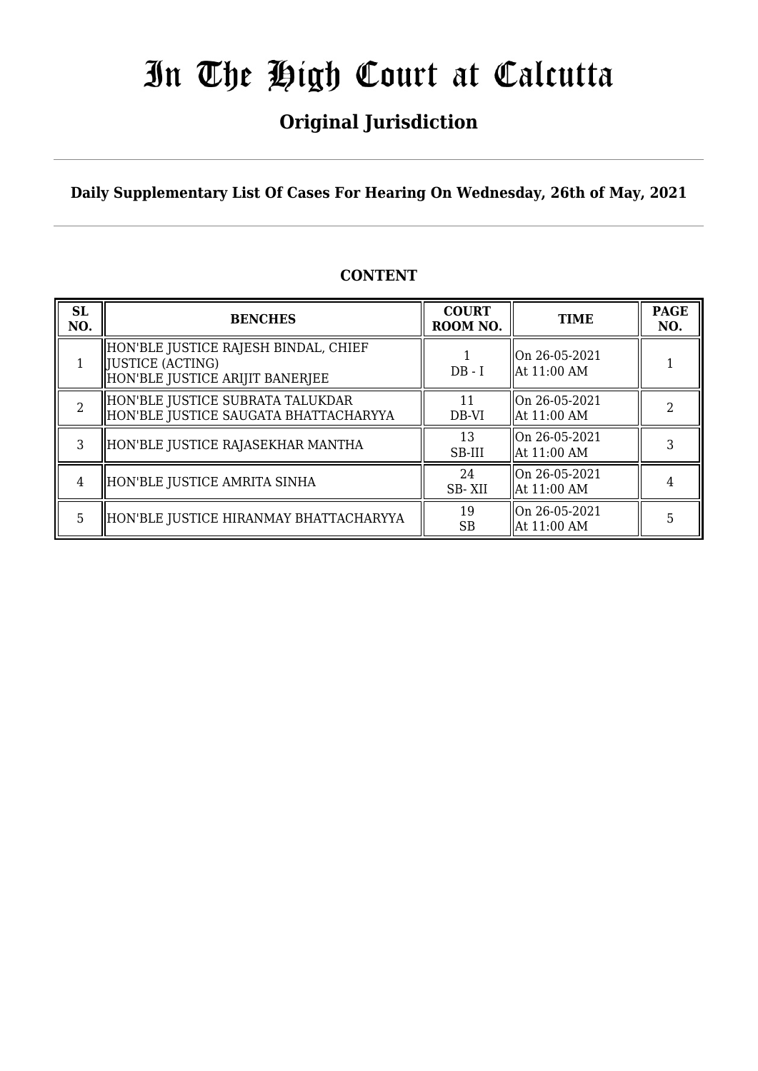## **Original Jurisdiction**

**Daily Supplementary List Of Cases For Hearing On Wednesday, 26th of May, 2021**

### **CONTENT**

| <b>SL</b><br>NO. | <b>BENCHES</b>                                                                                | <b>COURT</b><br>ROOM NO. | <b>TIME</b>                   | <b>PAGE</b><br>NO. |
|------------------|-----------------------------------------------------------------------------------------------|--------------------------|-------------------------------|--------------------|
|                  | HON'BLE JUSTICE RAJESH BINDAL, CHIEF<br>  JUSTICE (ACTING)<br>HON'BLE JUSTICE ARIJIT BANERJEE | $DB - I$                 | On 26-05-2021<br>At 11:00 AM  |                    |
| 2                | HON'BLE JUSTICE SUBRATA TALUKDAR<br>HON'BLE JUSTICE SAUGATA BHATTACHARYYA                     | 11<br>DB-VI              | On 26-05-2021<br>At 11:00 AM  |                    |
| 3                | HON'BLE JUSTICE RAJASEKHAR MANTHA                                                             | 13<br>SB-III             | lOn 26-05-2021<br>At 11:00 AM |                    |
| 4                | HON'BLE JUSTICE AMRITA SINHA                                                                  | 24<br>SB-XII             | On 26-05-2021<br>At 11:00 AM  |                    |
| 5                | HON'BLE JUSTICE HIRANMAY BHATTACHARYYA                                                        | 19<br>SB                 | On 26-05-2021<br>At 11:00 AM  | 5                  |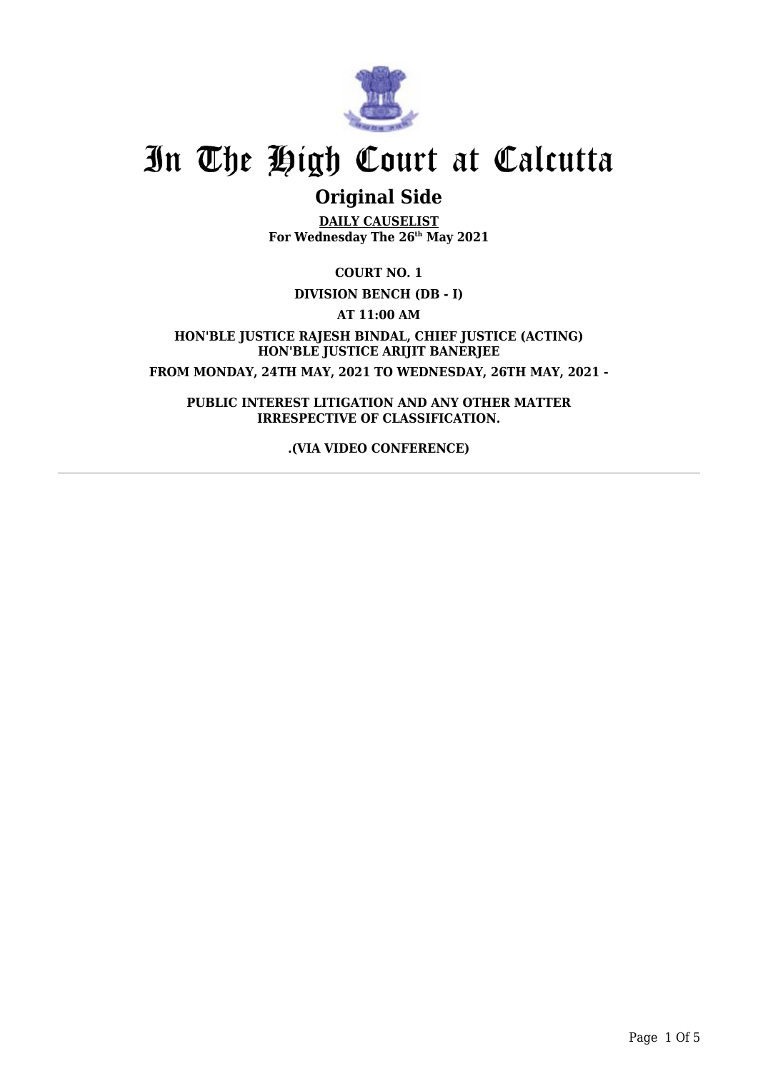

## **Original Side**

**DAILY CAUSELIST For Wednesday The 26th May 2021**

**COURT NO. 1**

**DIVISION BENCH (DB - I)**

**AT 11:00 AM**

**HON'BLE JUSTICE RAJESH BINDAL, CHIEF JUSTICE (ACTING) HON'BLE JUSTICE ARIJIT BANERJEE FROM MONDAY, 24TH MAY, 2021 TO WEDNESDAY, 26TH MAY, 2021 -**

**PUBLIC INTEREST LITIGATION AND ANY OTHER MATTER IRRESPECTIVE OF CLASSIFICATION.**

**.(VIA VIDEO CONFERENCE)**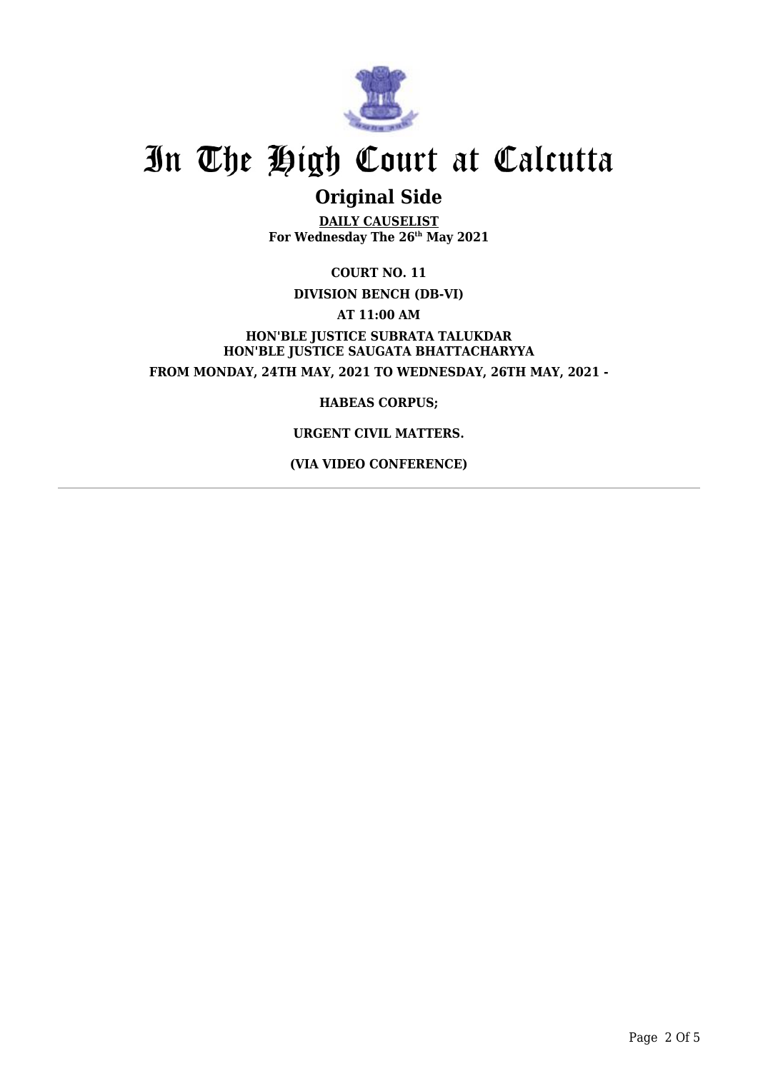

### **Original Side**

**DAILY CAUSELIST For Wednesday The 26th May 2021**

**COURT NO. 11**

**DIVISION BENCH (DB-VI)**

**AT 11:00 AM**

**HON'BLE JUSTICE SUBRATA TALUKDAR HON'BLE JUSTICE SAUGATA BHATTACHARYYA FROM MONDAY, 24TH MAY, 2021 TO WEDNESDAY, 26TH MAY, 2021 -**

**HABEAS CORPUS;**

#### **URGENT CIVIL MATTERS.**

**(VIA VIDEO CONFERENCE)**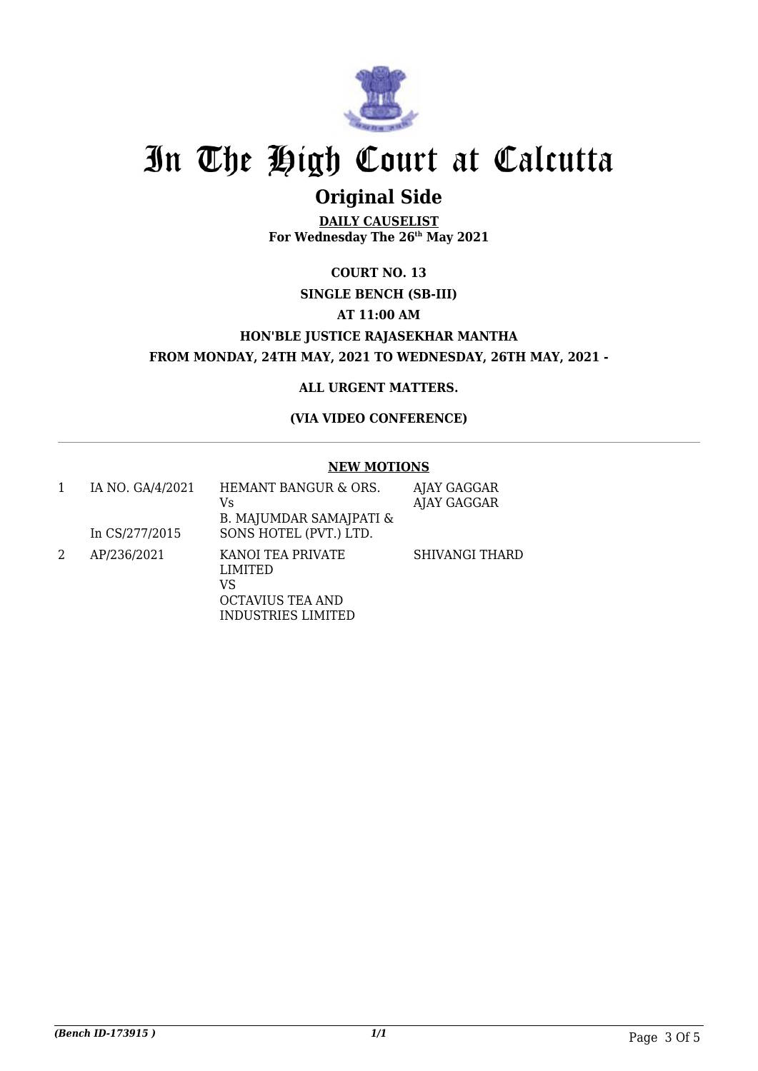

## **Original Side**

**DAILY CAUSELIST For Wednesday The 26th May 2021**

### **COURT NO. 13 SINGLE BENCH (SB-III) AT 11:00 AM HON'BLE JUSTICE RAJASEKHAR MANTHA FROM MONDAY, 24TH MAY, 2021 TO WEDNESDAY, 26TH MAY, 2021 -**

#### **ALL URGENT MATTERS.**

#### **(VIA VIDEO CONFERENCE)**

#### **NEW MOTIONS**

| IA NO. GA/4/2021<br>In CS/277/2015 | HEMANT BANGUR & ORS.<br>Vs<br>B. MAJUMDAR SAMAJPATI &<br>SONS HOTEL (PVT.) LTD.                   | AJAY GAGGAR<br>AJAY GAGGAR |
|------------------------------------|---------------------------------------------------------------------------------------------------|----------------------------|
| AP/236/2021                        | KANOI TEA PRIVATE<br><b>LIMITED</b><br>VS<br><b>OCTAVIUS TEA AND</b><br><b>INDUSTRIES LIMITED</b> | <b>SHIVANGI THARD</b>      |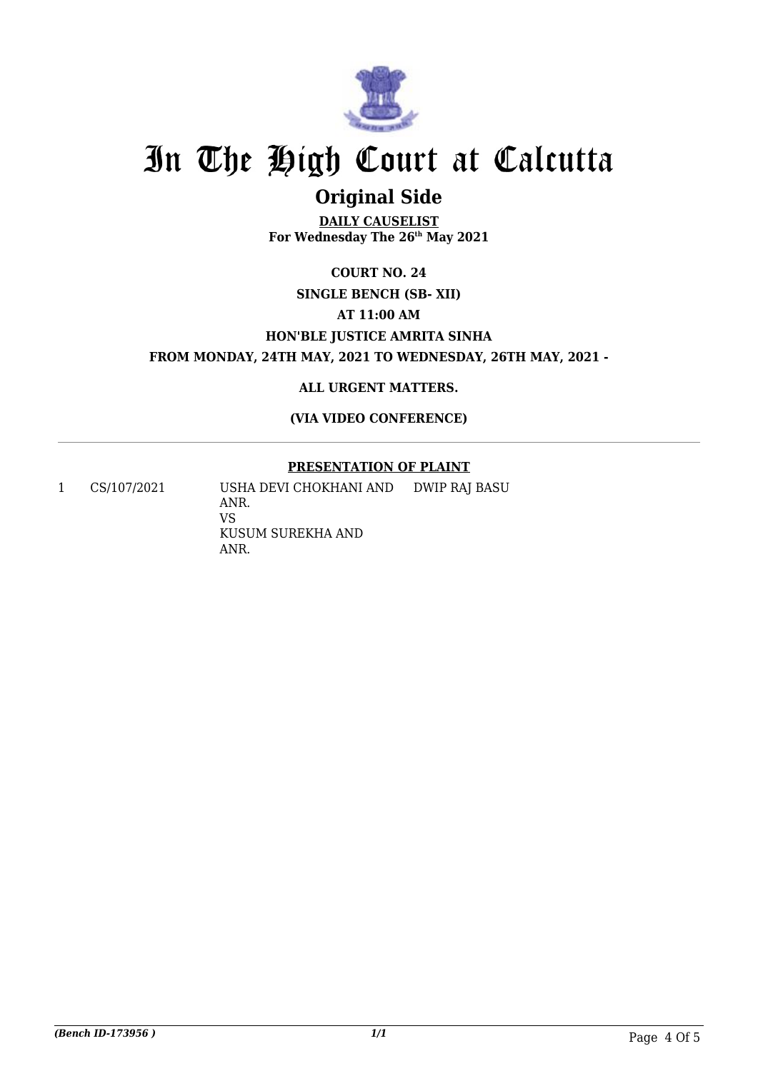

## **Original Side**

**DAILY CAUSELIST For Wednesday The 26th May 2021**

### **COURT NO. 24 SINGLE BENCH (SB- XII) AT 11:00 AM HON'BLE JUSTICE AMRITA SINHA FROM MONDAY, 24TH MAY, 2021 TO WEDNESDAY, 26TH MAY, 2021 -**

**ALL URGENT MATTERS.**

**(VIA VIDEO CONFERENCE)**

#### **PRESENTATION OF PLAINT**

1 CS/107/2021 USHA DEVI CHOKHANI AND ANR. VS KUSUM SUREKHA AND ANR. DWIP RAJ BASU